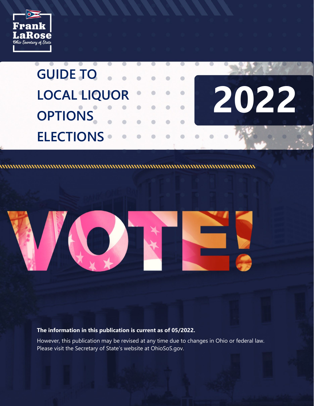





**The information in this publication is current as of 05/2022.**

However, this publication may be revised at any time due to changes in Ohio or federal law. Please visit the Secretary of State's website at OhioSoS.gov.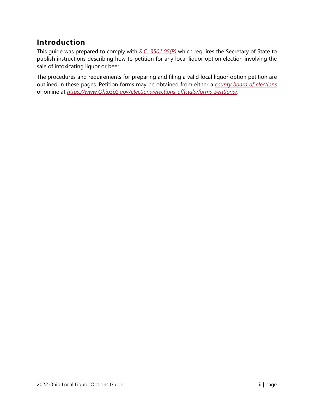# **Introduction**

This guide was prepared to comply with *[R.C. 3501.05\(P\)](https://codes.ohio.gov/ohio-revised-code/section-3501.05)* which requires the Secretary of State to publish instructions describing how to petition for any local liquor option election involving the sale of intoxicating liquor or beer.

The procedures and requirements for preparing and filing a valid local liquor option petition are outlined in these pages. Petition forms may be obtained from either a *[county board of elections](http://www.sos.state.oh.us/SOS/elections/electionsofficials/boeDirectory.aspx#dir)* or online at *[https://www.OhioSoS.gov/elections/elections-officials/forms-petitions/](https://www.ohiosos.gov/elections/elections-officials/forms-petitions/)*.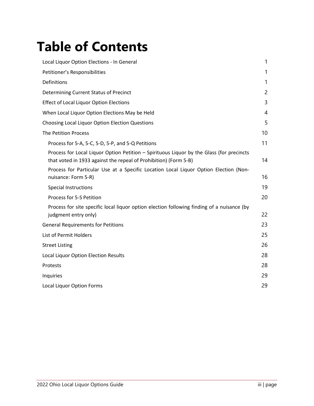# **Table of Contents**

| Local Liquor Option Elections - In General                                                                                                                   | 1            |
|--------------------------------------------------------------------------------------------------------------------------------------------------------------|--------------|
| Petitioner's Responsibilities                                                                                                                                | 1            |
| Definitions                                                                                                                                                  | $\mathbf{1}$ |
| Determining Current Status of Precinct                                                                                                                       | 2            |
| <b>Effect of Local Liquor Option Elections</b>                                                                                                               | 3            |
| When Local Liquor Option Elections May be Held                                                                                                               | 4            |
| Choosing Local Liquor Option Election Questions                                                                                                              | 5            |
| <b>The Petition Process</b>                                                                                                                                  | 10           |
| Process for 5-A, 5-C, 5-D, 5-P, and 5-Q Petitions                                                                                                            | 11           |
| Process for Local Liquor Option Petition - Spirituous Liquor by the Glass (for precincts<br>that voted in 1933 against the repeal of Prohibition) (Form 5-B) | 14           |
| Process for Particular Use at a Specific Location Local Liquor Option Election (Non-<br>nuisance: Form 5-R)                                                  | 16           |
| <b>Special Instructions</b>                                                                                                                                  | 19           |
| Process for 5-S Petition                                                                                                                                     | 20           |
| Process for site specific local liquor option election following finding of a nuisance (by<br>judgment entry only)                                           | 22           |
| <b>General Requirements for Petitions</b>                                                                                                                    | 23           |
| List of Permit Holders                                                                                                                                       | 25           |
| <b>Street Listing</b>                                                                                                                                        | 26           |
| Local Liquor Option Election Results                                                                                                                         | 28           |
| Protests                                                                                                                                                     | 28           |
| Inquiries                                                                                                                                                    | 29           |
| <b>Local Liquor Option Forms</b>                                                                                                                             | 29           |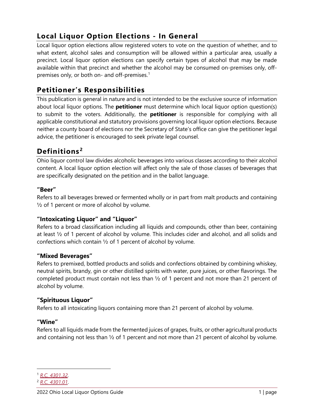# <span id="page-3-0"></span>**Local Liquor Option Elections - In General**

Local liquor option elections allow registered voters to vote on the question of whether, and to what extent, alcohol sales and consumption will be allowed within a particular area, usually a precinct. Local liquor option elections can specify certain types of alcohol that may be made available within that precinct and whether the alcohol may be consumed on-premises only, offpremises only, or both on- and off-premises. $<sup>1</sup>$  $<sup>1</sup>$  $<sup>1</sup>$ </sup>

# <span id="page-3-1"></span>**Petitioner's Responsibilities**

This publication is general in nature and is not intended to be the exclusive source of information about local liquor options. The **petitioner** must determine which local liquor option question(s) to submit to the voters. Additionally, the **petitioner** is responsible for complying with all applicable constitutional and statutory provisions governing local liquor option elections. Because neither a county board of elections nor the Secretary of State's office can give the petitioner legal advice, the petitioner is encouraged to seek private legal counsel.

# <span id="page-3-2"></span>**Definitions [2](#page-3-4)**

Ohio liquor control law divides alcoholic beverages into various classes according to their alcohol content. A local liquor option election will affect only the sale of those classes of beverages that are specifically designated on the petition and in the ballot language.

# **"Beer"**

Refers to all beverages brewed or fermented wholly or in part from malt products and containing  $\frac{1}{2}$  of 1 percent or more of alcohol by volume.

# **"Intoxicating Liquor" and "Liquor"**

Refers to a broad classification including all liquids and compounds, other than beer, containing at least ½ of 1 percent of alcohol by volume. This includes cider and alcohol, and all solids and confections which contain ½ of 1 percent of alcohol by volume.

# **"Mixed Beverages"**

Refers to premixed, bottled products and solids and confections obtained by combining whiskey, neutral spirits, brandy, gin or other distilled spirits with water, pure juices, or other flavorings. The completed product must contain not less than ½ of 1 percent and not more than 21 percent of alcohol by volume.

# **"Spirituous Liquor"**

Refers to all intoxicating liquors containing more than 21 percent of alcohol by volume.

### **"Wine"**

Refers to all liquids made from the fermented juices of grapes, fruits, or other agricultural products and containing not less than ½ of 1 percent and not more than 21 percent of alcohol by volume.

<span id="page-3-3"></span><sup>1</sup> *[R.C. 4301.32](http://codes.ohio.gov/orc/4301.32)*.

<span id="page-3-4"></span><sup>2</sup> *[R.C. 4301.01](http://codes.ohio.gov/orc/4301.01)*.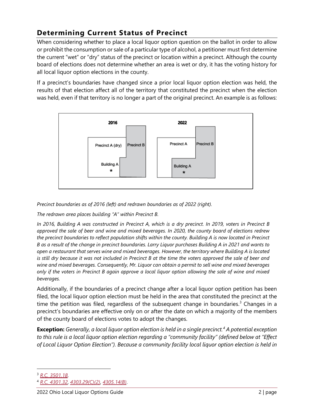# <span id="page-4-0"></span>**Determining Current Status of Precinct**

When considering whether to place a local liquor option question on the ballot in order to allow or prohibit the consumption or sale of a particular type of alcohol, a petitioner must first determine the current "wet" or "dry" status of the precinct or location within a precinct. Although the county board of elections does not determine whether an area is wet or dry, it has the voting history for all local liquor option elections in the county.

If a precinct's boundaries have changed since a prior local liquor option election was held, the results of that election affect all of the territory that constituted the precinct when the election was held, even if that territory is no longer a part of the original precinct. An example is as follows:



*Precinct boundaries as of 2016 (left) and redrawn boundaries as of 2022 (right).* 

*The redrawn area places building "A" within Precinct B.*

*In 2016, Building A was constructed in Precinct A, which is a dry precinct. In 2019, voters in Precinct B approved the sale of beer and wine and mixed beverages. In 2020, the county board of elections redrew the precinct boundaries to reflect population shifts within the county. Building A is now located in Precinct B as a result of the change in precinct boundaries. Larry Liquor purchases Building A in 2021 and wants to open a restaurant that serves wine and mixed beverages. However, the territory where Building A is located is still dry because it was not included in Precinct B at the time the voters approved the sale of beer and wine and mixed beverages. Consequently, Mr. Liquor can obtain a permit to sell wine and mixed beverages only if the voters in Precinct B again approve a local liquor option allowing the sale of wine and mixed beverages.*

Additionally, if the boundaries of a precinct change after a local liquor option petition has been filed, the local liquor option election must be held in the area that constituted the precinct at the time the petition was filed, regardless of the subsequent change in boundaries.<sup>[3](#page-4-1)</sup> Changes in a precinct's boundaries are effective only on or after the date on which a majority of the members of the county board of elections votes to adopt the changes.

**Exception:** *Generally, a local liquor option election is held in a single precinct.[4](#page-4-2) A potential exception to this rule is a local liquor option election regarding a "community facility" (defined below at "Effect of Local Liquor Option Election"). Because a community facility local liquor option election is held in* 

<span id="page-4-1"></span><sup>3</sup> *[R.C. 3501.18](http://codes.ohio.gov/orc/3501.18)*.

<span id="page-4-2"></span><sup>4</sup> *[R.C. 4301.32](http://codes.ohio.gov/orc/4301.32)*, *[4303.29\(C\)\(2\)](http://codes.ohio.gov/orc/4303.29v2)*, *[4305.14\(B\)](http://codes.ohio.gov/orc/4305.14)*.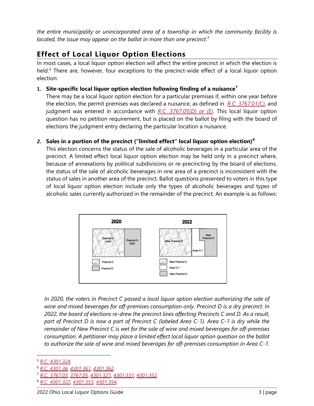*the entire municipality or unincorporated area of a township in which the community facility is located, the issue may appear on the ballot in more than one precinct.[5](#page-5-1)*

# <span id="page-5-0"></span>**Effect of Local Liquor Option Elections**

In most cases, a local liquor option election will affect the entire precinct in which the election is held.<sup>[6](#page-5-2)</sup> There are, however, four exceptions to the precinct-wide effect of a local liquor option election:

### **1. Site-specific local liquor option election following finding of a nuisance[7](#page-5-3)**

There may be a local liquor option election for a particular premises if, within one year before the election, the permit premises was declared a nuisance, as defined in *[R.C. 3767.01\(C\)](http://codes.ohio.gov/orc/3767.01)*, and judgment was entered in accordance with *[R.C. 3767.05\(D\) or \(E\)](http://codes.ohio.gov/orc/3767.05)*. This local liquor option question has no petition requirement, but is placed on the ballot by filing with the board of elections the judgment entry declaring the particular location a nuisance.

### *2.* **Sales in a portion of the precinct ("limited effect" local liquor option election)[8](#page-5-4)**

This election concerns the status of the sale of alcoholic beverages in a particular area of the precinct. A limited effect local liquor option election may be held only in a precinct where, because of annexations by political subdivisions or re-precincting by the board of elections, the status of the sale of alcoholic beverages in one area of a precinct is inconsistent with the status of sales in another area of the precinct. Ballot questions presented to voters in this type of local liquor option election include only the types of alcoholic beverages and types of alcoholic sales currently authorized in the remainder of the precinct*.* An example is as follows:



*In 2020, the voters in Precinct C passed a local liquor option election authorizing the sale of wine and mixed beverages for off-premises consumption only. Precinct D is a dry precinct. In 2022, the board of elections re-drew the precinct lines affecting Precincts C and D. As a result, part of Precinct D is now a part of Precinct C (labeled Area C-1). Area C-1 is dry while the remainder of New Precinct C is wet for the sale of wine and mixed beverages for off-premises consumption. A petitioner may place a limited effect local liquor option question on the ballot to authorize the sale of wine and mixed beverages for off-premises consumption in Area C-1.* 

<span id="page-5-1"></span><sup>5</sup> *[R.C. 4301.324](http://codes.ohio.gov/orc/4301.324)*.

<span id="page-5-2"></span><sup>6</sup> *[R.C. 4301.36](http://codes.ohio.gov/orc/4301.36)*, *[4301.361](http://codes.ohio.gov/orc/4301.361)*, *[4301.362](http://codes.ohio.gov/orc/4301.362)*.

<span id="page-5-3"></span><sup>7</sup> *[R.C. 3767.03](http://codes.ohio.gov/orc/3767.03)*, *[3767.05](http://codes.ohio.gov/orc/3767.05)*, *[4301.321](http://codes.ohio.gov/orc/4301.321)*, *[4301.331](http://codes.ohio.gov/orc/4301.331)*, *[4301.352](http://codes.ohio.gov/orc/4301.352)*.

<span id="page-5-4"></span><sup>8</sup> *[R.C. 4301.322](http://codes.ohio.gov/orc/4301.322)*, *[4301.353](http://codes.ohio.gov/orc/4301.353)*, *[4301.354](http://codes.ohio.gov/orc/4301.354)*.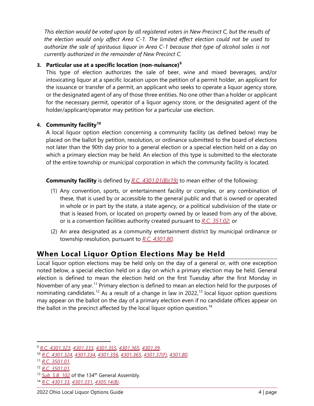*This election would be voted upon by all registered voters in New Precinct C, but the results of the election would only affect Area C-1. The limited effect election could not be used to authorize the sale of spirituous liquor in Area C-1 because that type of alcohol sales is not currently authorized in the remainder of New Precinct C.*

### **3. Particular use at a specific location (non-nuisance)[9](#page-6-1)**

This type of election authorizes the sale of beer, wine and mixed beverages, and/or intoxicating liquor at a specific location upon the petition of a permit holder, an applicant for the issuance or transfer of a permit, an applicant who seeks to operate a liquor agency store, or the designated agent of any of those three entities. No one other than a holder or applicant for the necessary permit, operator of a liquor agency store, or the designated agent of the holder/applicant/operator may petition for a particular use election.

### **4. Community facility[10](#page-6-2)**

A local liquor option election concerning a community facility (as defined below) may be placed on the ballot by petition, resolution, or ordinance submitted to the board of elections not later than the 90th day prior to a general election or a special election held on a day on which a primary election may be held. An election of this type is submitted to the electorate of the entire township or municipal corporation in which the community facility is located.

**Community facility** is defined by *[R.C. 4301.01\(B\)\(19\)](http://codes.ohio.gov/orc/4301.01)* to mean either of the following:

- (1) Any convention, sports, or entertainment facility or complex, or any combination of these, that is used by or accessible to the general public and that is owned or operated in whole or in part by the state, a state agency, or a political subdivision of the state or that is leased from, or located on property owned by or leased from any of the above, or is a convention facilities authority created pursuant to *[R.C. 351.02](http://codes.ohio.gov/orc/351.02)*; or
- (2) An area designated as a community entertainment district by municipal ordinance or township resolution, pursuant to *[R.C. 4301.80](http://codes.ohio.gov/orc/4301.80)*.

# <span id="page-6-0"></span>**When Local Liquor Option Elections May be Held**

Local liquor option elections may be held only on the day of a general or, with one exception noted below, a special election held on a day on which a primary election may be held. General election is defined to mean the election held on the first Tuesday after the first Monday in November of any year.<sup>[11](#page-6-3)</sup> Primary election is defined to mean an election held for the purposes of nominating candidates.<sup>[12](#page-6-4)</sup> As a result of a change in law in 2022,<sup>[13](#page-6-5)</sup> local liquor option questions may appear on the ballot on the day of a primary election even if no candidate offices appear on the ballot in the precinct affected by the local liquor option question.<sup>[14](#page-6-6)</sup>

<span id="page-6-1"></span><sup>9</sup> *[R.C. 4301.323](http://codes.ohio.gov/orc/4301.323)*, *[4301.333](http://codes.ohio.gov/orc/4301.333)*, *[4301.355](http://codes.ohio.gov/orc/4301.355)*, *[4301.365](http://codes.ohio.gov/orc/4301.365)*, *[4301.39](http://codes.ohio.gov/orc/4301.39)*.

<span id="page-6-2"></span><sup>10</sup> *[R.C. 4301.324](http://codes.ohio.gov/orc/4301.324)*, *[4301.334](http://codes.ohio.gov/orc/4301.334)*, *[4301.356](http://codes.ohio.gov/orc/4301.356)*, *[4301.365](http://codes.ohio.gov/orc/4301.365)*, *[4301.37\(F\)](http://codes.ohio.gov/orc/4301.37)*, *[4301.80](http://codes.ohio.gov/orc/4301.80)*.

<span id="page-6-3"></span><sup>11</sup> *[R.C. 3501.01](http://codes.ohio.gov/orc/3501.01)*.

<span id="page-6-4"></span><sup>12</sup> *[R.C. 3501.01](http://codes.ohio.gov/orc/3501.01)*.

<span id="page-6-5"></span><sup>&</sup>lt;sup>13</sup> *[Sub. S.B. 102](https://search-prod.lis.state.oh.us/solarapi/v1/general_assembly_134/bills/sb102/EN/05/sb102_05_EN?format=pdf)* of the 134<sup>th</sup> General Assembly.

<span id="page-6-6"></span><sup>14</sup> *[R.C. 4301.33](http://codes.ohio.gov/orc/4301.33)*, *[4301.331](http://codes.ohio.gov/orc/4301.331)*, *[4305.14\(B\)](http://codes.ohio.gov/orc/4305.14)*.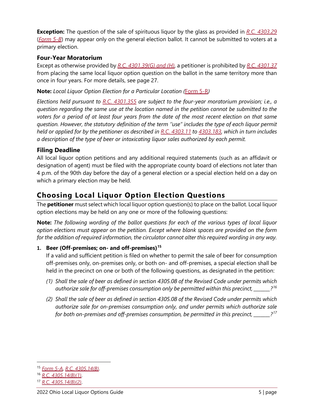**Exception:** The question of the sale of spirituous liquor by the glass as provided in *[R.C. 4303.29](http://codes.ohio.gov/orc/4303.29)* (*[Form 5-B](https://www.sos.state.oh.us/globalassets/elections/forms/5-b.pdf)*) may appear only on the general election ballot. It cannot be submitted to voters at a primary election.

### **Four-Year Moratorium**

Except as otherwise provided by *[R.C. 4301.39\(G\) and \(H\)](http://codes.ohio.gov/orc/4301.39)*, a petitioner is prohibited by *[R.C. 4301.37](http://codes.ohio.gov/orc/4301.37)* from placing the same local liquor option question on the ballot in the same territory more than once in four years. For more details, see page 27.

**Note:** *Local Liquor Option Election for a Particular Location (*[Form 5-R](https://www.sos.state.oh.us/globalassets/elections/forms/5-r.pdf)*)*

*Elections held pursuant to [R.C. 4301.355](http://codes.ohio.gov/orc/4301.355) are subject to the four-year moratorium provision; i.e., a question regarding the same use at the location named in the petition cannot be submitted to the voters for a period of at least four years from the date of the most recent election on that same question. However, the statutory definition of the term ''use" includes the type of each liquor permit held or applied for by the petitioner as described in [R.C. 4303.11](http://codes.ohio.gov/orc/4303.11) to [4303.183,](http://codes.ohio.gov/orc/4303.183) which in turn includes a description of the type of beer or intoxicating liquor sales authorized by each permit.* 

### **Filing Deadline**

All local liquor option petitions and any additional required statements (such as an affidavit or designation of agent) must be filed with the appropriate county board of elections not later than 4 p.m. of the 90th day before the day of a general election or a special election held on a day on which a primary election may be held.

# <span id="page-7-0"></span>**Choosing Local Liquor Option Election Questions**

The **petitioner** must select which local liquor option question(s) to place on the ballot. Local liquor option elections may be held on any one or more of the following questions:

**Note:** *The following wording of the ballot questions for each of the various types of local liquor option elections must appear on the petition. Except where blank spaces are provided on the form for the addition of required information, the circulator cannot alter this required wording in any way.*

### **1. Beer (Off-premises; on- and off-premises)[15](#page-7-1)**

If a valid and sufficient petition is filed on whether to permit the sale of beer for consumption off-premises only, on-premises only, or both on- and off-premises, a special election shall be held in the precinct on one or both of the following questions, as designated in the petition:

- *(1) Shall the sale of beer as defined in section 4305.08 of the Revised Code under permits which authorize sale for off-premises consumption only be permitted within this precinct, \_\_\_\_\_\_\_?[16](#page-7-2)*
- *(2) Shall the sale of beer as defined in section 4305.08 of the Revised Code under permits which authorize sale for on-premises consumption only, and under permits which authorize sale for both on-premises and off-premises consumption, be permitted in this precinct, \_\_\_\_\_\_\_?[17](#page-7-3)*

<span id="page-7-1"></span><sup>15</sup> *[Form 5-A](https://www.sos.state.oh.us/globalassets/elections/forms/5-a.pdf)*, *[R.C. 4305.14\(B\)](http://codes.ohio.gov/orc/4305.14)*.

<span id="page-7-2"></span><sup>16</sup> *[R.C. 4305.14\(B\)\(1\)](http://codes.ohio.gov/orc/4305.14)*.

<span id="page-7-3"></span><sup>17</sup> *[R.C. 4305.14\(B\)\(2\)](http://codes.ohio.gov/orc/4305.14)*.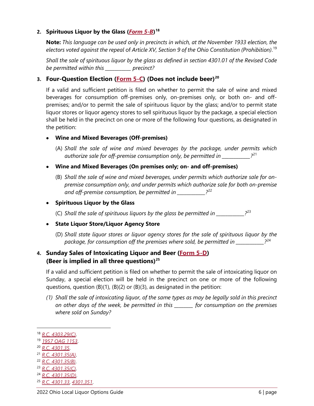#### **2. Spirituous Liquor by the Glass (***[Form 5-B](https://www.sos.state.oh.us/globalassets/elections/forms/5-b.pdf)***) [18](#page-8-0)**

**Note:** *This language can be used only in precincts in which, at the November 1933 election, the electors voted against the repeal* of *Article XV, Section 9 of the Ohio Constitution (Prohibition)*. [19](#page-8-1)

*Shall the sale of spirituous liquor by the glass as defined in section 4301.01 of the Revised Code be permitted within this \_\_\_\_\_\_\_\_\_\_\_ precinct?*

### **3. Four-Question Election [\(Form 5-C\)](https://www.sos.state.oh.us/globalassets/elections/forms/5-c.pdf) (Does not include beer[\)20](#page-8-2)**

If a valid and sufficient petition is filed on whether to permit the sale of wine and mixed beverages for consumption off-premises only, on-premises only, or both on- and offpremises; and/or to permit the sale of spirituous liquor by the glass; and/or to permit state liquor stores or liquor agency stores to sell spirituous liquor by the package, a special election shall be held in the precinct on one or more of the following four questions, as designated in the petition:

### • **Wine and Mixed Beverages (Off-premises)**

- (A) *Shall the sale of wine and mixed beverages by the package, under permits which authorize sale for off-premise consumption only, be permitted in \_\_\_\_\_\_\_\_\_\_\_\_?*[21](#page-8-3)
- **Wine and Mixed Beverages (On premises only; on- and off-premises)**
	- (B) *Shall the sale of wine and mixed beverages, under permits which authorize sale for onpremise consumption only, and under permits which authorize sale for both on-premise*  and off-premise consumption, be permitted in  $^{22}$  $^{22}$  $^{22}$

#### • **Spirituous Liquor by the Glass**

(C) *Shall the sale of spirituous liquors by the glass be permitted in \_\_\_\_\_\_\_\_\_\_\_\_?*[23](#page-8-5)

### • **State Liquor Store/Liquor Agency Store**

(D) *Shall state liquor stores or liquor agency stores for the sale of spirituous liquor by the package, for consumption off the premises where sold, be permitted in \_\_\_\_\_\_\_\_\_\_\_\_?*[24](#page-8-6)

## **4. Sunday Sales of Intoxicating Liquor and Beer [\(Form 5-D\)](https://www.sos.state.oh.us/globalassets/elections/forms/5-d.pdf) (Beer is implied in all three questions)[25](#page-8-7)**

If a valid and sufficient petition is filed on whether to permit the sale of intoxicating liquor on Sunday, a special election will be held in the precinct on one or more of the following questions, question (B)(1), (B)(2) or (B)(3), as designated in the petition:

*(1) Shall the sale of intoxicating liquor, of the same types as may be legally sold in this precinct on other days of the week, be permitted in this \_\_\_\_\_\_\_\_ for consumption on the premises where sold on Sunday?*

- <span id="page-8-3"></span><sup>21</sup> *[R.C. 4301.35\(A\)](http://codes.ohio.gov/orc/4301.35)*.
- <span id="page-8-4"></span><sup>22</sup> *[R.C. 4301.35\(B\)](http://codes.ohio.gov/orc/4301.35)*.
- <span id="page-8-5"></span><sup>23</sup> *[R.C. 4301.35\(C\)](http://codes.ohio.gov/orc/4301.35)*.
- <span id="page-8-6"></span><sup>24</sup> *[R.C. 4301.35\(D\)](http://codes.ohio.gov/orc/4301.35)*.
- <span id="page-8-7"></span><sup>25</sup> *[R.C. 4301.33](http://codes.ohio.gov/orc/4301.33)*, *[4301.351](http://codes.ohio.gov/orc/4301.351)*.

<span id="page-8-0"></span><sup>18</sup> *[R.C. 4303.29\(C\)](http://codes.ohio.gov/orc/4303.29)*.

<span id="page-8-1"></span><sup>19</sup> *[1957 OAG 1153](https://www.ohioattorneygeneral.gov/getattachment/46458597-b687-4573-befe-46f874a48e6f/1957-1153.aspx)*.

<span id="page-8-2"></span><sup>20</sup> *[R.C. 4301.35](http://codes.ohio.gov/orc/4301.35)*.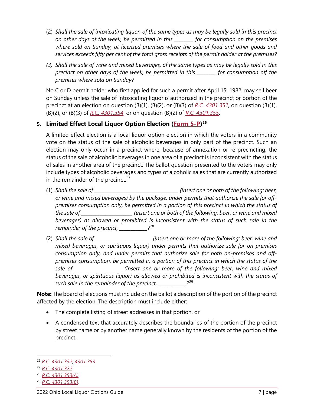- (2) *Shall the sale of intoxicating liquor, of the same types as may be legally sold in this precinct on other days of the week, be permitted in this \_\_\_\_\_\_\_\_ for consumption on the premises where sold on Sunday, at licensed premises where the sale of food and other goods and services exceeds fifty per cent of the total gross receipts of the permit holder at the premises?*
- *(3) Shall the sale of wine and mixed beverages, of the same types as may be legally sold in this precinct on other days of the week, be permitted in this \_\_\_\_\_\_\_\_ for consumption off the premises where sold on Sunday?*

No C or D permit holder who first applied for such a permit after April 15, 1982, may sell beer on Sunday unless the sale of intoxicating liquor is authorized in the precinct or portion of the precinct at an election on question (B)(1), (B)(2), or (B)(3) of *[R.C. 4301.351](http://codes.ohio.gov/orc/4301.351)*, on question (B)(1), (B)(2), or (B)(3) of *[R.C. 4301.354](http://codes.ohio.gov/orc/4301.354)*, or on question (B)(2) of *[R.C. 4301.355](http://codes.ohio.gov/orc/4301.355)*.

# **5. Limited Effect Local Liquor Option Election [\(Form 5-P\)](https://www.sos.state.oh.us/globalassets/elections/forms/5-p.pdf)[26](#page-9-0)**

A limited effect election is a local liquor option election in which the voters in a community vote on the status of the sale of alcoholic beverages in only part of the precinct. Such an election may only occur in a precinct where, because of annexation or re-precincting, the status of the sale of alcoholic beverages in one area of a precinct is inconsistent with the status of sales in another area of the precinct. The ballot question presented to the voters may only include types of alcoholic beverages and types of alcoholic sales that are currently authorized in the remainder of the precinct. $27$ 

- (1) *Shall the sale of \_\_\_\_\_\_\_\_\_\_\_\_\_\_\_\_\_\_\_\_\_\_\_\_\_\_\_\_\_\_\_\_\_\_\_\_ (insert one or both of the following: beer, or wine and mixed beverages) by the package, under permits that authorize the sale for offpremises consumption only, be permitted in a portion of this precinct in which the status of the sale of \_\_\_\_\_\_\_\_\_\_\_\_\_\_\_\_\_\_\_\_\_\_ (insert one or both of the following: beer, or wine and mixed beverages) as allowed or prohibited is inconsistent with the status of such sale in the remainder of the precinct, \_\_\_\_\_\_\_\_\_\_\_\_?*[28](#page-9-2)
- (2) *Shall the sale of \_\_\_\_\_\_\_\_\_\_\_\_\_\_\_\_\_\_\_\_\_\_\_\_ (insert one or more of the following: beer, wine and mixed beverages, or spirituous liquor) under permits that authorize sale for on-premises consumption only, and under permits that authorize sale for both on-premises and offpremises consumption, be permitted in a portion of this precinct in which the status of the sale of \_\_\_\_\_\_\_\_\_\_\_\_\_\_\_\_\_\_\_\_ (insert one or more of the following: beer, wine and mixed beverages, or spirituous liquor) as allowed or prohibited is inconsistent with the status of such sale in the remainder of the precinct, \_\_\_\_\_\_\_\_\_\_\_\_?*[29](#page-9-3)

**Note:** The board of elections must include on the ballot a description of the portion of the precinct affected by the election. The description must include either:

- The complete listing of street addresses in that portion, or
- A condensed text that accurately describes the boundaries of the portion of the precinct by street name or by another name generally known by the residents of the portion of the precinct.

<span id="page-9-0"></span><sup>26</sup> *[R.C. 4301.332](http://codes.ohio.gov/orc/4301.332)*, *[4301.353](http://codes.ohio.gov/orc/4301.353)*.

<span id="page-9-1"></span><sup>27</sup> *[R.C. 4301.322](http://codes.ohio.gov/orc/4301.322)*.

<span id="page-9-2"></span><sup>28</sup> *[R.C. 4301.353\(A\)](http://codes.ohio.gov/orc/4301.353)*.

<span id="page-9-3"></span><sup>29</sup> *[R.C. 4301.353\(B\)](http://codes.ohio.gov/orc/4301.353)*.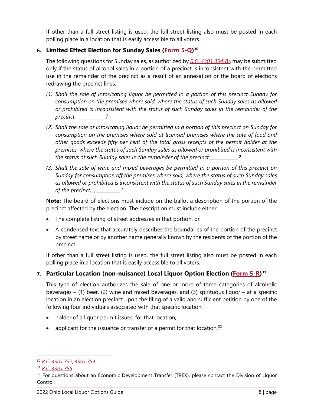If other than a full street listing is used, the full street listing also must be posted in each polling place in a location that is easily accessible to all voters.

# **6. Limited Effect Election for Sunday Sales [\(Form 5-Q\)](https://www.sos.state.oh.us/globalassets/elections/forms/5-q.pdf)[30](#page-10-0)**

The following questions for Sunday sales, as authorized by *[R.C. 4301.354\(B\)](http://codes.ohio.gov/orc/4301.354)*, may be submitted only if the status of alcohol sales in a portion of a precinct is inconsistent with the permitted use in the remainder of the precinct as a result of an annexation or the board of elections redrawing the precinct lines:

- *(1) Shall the sale of intoxicating liquor be permitted in a portion of this precinct Sunday for consumption on the premises where sold, where the status of such Sunday sales as allowed or prohibited is inconsistent with the status of such Sunday sales in the remainder of the precinct, \_\_\_\_\_\_\_\_\_\_\_\_?*
- *(2) Shall the sale of intoxicating liquor be permitted in a portion of this precinct on Sunday for consumption on the premises where sold at licensed premises where the sale of food and other goods exceeds fifty per cent of the total gross receipts of the permit holder at the premises, where the status of such Sunday sales as allowed or prohibited is inconsistent with the status of such Sunday sales in the remainder of the precinct \_\_\_\_\_\_\_\_\_\_\_\_?*
- *(3) Shall the sale of wine and mixed beverages be permitted in a portion of this precinct on Sunday for consumption off the premises where sold, where the status of such Sunday sales as allowed or prohibited is inconsistent with the status of such Sunday sales in the remainder of the precinct, \_\_\_\_\_\_\_\_\_\_\_\_?*

**Note:** The board of elections must include on the ballot a description of the portion of the precinct affected by the election. The description must include either:

- The complete listing of street addresses in that portion, or
- A condensed text that accurately describes the boundaries of the portion of the precinct by street name or by another name generally known by the residents of the portion of the precinct.

If other than a full street listing is used, the full street listing also must be posted in each polling place in a location that is easily accessible to all voters.

# **7. Particular Location (non-nuisance) Local Liquor Option Election [\(Form 5-R\)](https://www.sos.state.oh.us/globalassets/elections/forms/5-r.pdf)[31](#page-10-1)**

This type of election authorizes the sale of one or more of three categories of alcoholic beverages  $-$  (1) beer, (2) wine and mixed beverages, and (3) spirituous liquor – at a specific location in an election precinct upon the filing of a valid and sufficient petition by one of the following four individuals associated with that specific location:

- holder of a liquor permit issued for that location,
- applicant for the issuance or transfer of a permit for that location,  $32$

<span id="page-10-0"></span><sup>30</sup> *[R.C. 4301.332](http://codes.ohio.gov/orc/4301.332)*, *[4301.354](http://codes.ohio.gov/orc/4301.354)*.

<span id="page-10-1"></span><sup>31</sup> *[R.C. 4301.355](http://codes.ohio.gov/orc/4301.355)*.

<span id="page-10-2"></span> $32$  For questions about an Economic Development Transfer (TREX), please contact the Division of Liquor Control.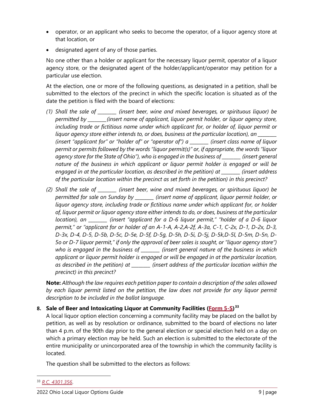- operator, or an applicant who seeks to become the operator, of a liquor agency store at that location, or
- designated agent of any of those parties.

No one other than a holder or applicant for the necessary liquor permit, operator of a liquor agency store, or the designated agent of the holder/applicant/operator may petition for a particular use election.

At the election, one or more of the following questions, as designated in a petition, shall be submitted to the electors of the precinct in which the specific location is situated as of the date the petition is filed with the board of elections:

- *(1) Shall the sale of \_\_\_\_\_\_\_\_ (insert beer, wine and mixed beverages, or spirituous liquor) be permitted by \_\_\_\_\_\_\_\_(insert name of applicant, liquor permit holder, or liquor agency store, including trade or fictitious name under which applicant for, or holder of, liquor permit or liquor agency store either intends to, or does, business at the particular location), an \_\_\_\_\_\_\_\_ (insert "applicant for" or "holder of" or "operator of") a \_\_\_\_\_\_\_\_ (insert class name of liquor permit or permits followed by the words "liquor permit(s)" or, if appropriate, the words "liquor agency store for the State of Ohio"), who is engaged in the business of \_\_\_\_\_\_\_\_ (insert general nature of the business in which applicant or liquor permit holder is engaged or will be engaged in at the particular location, as described in the petition) at \_\_\_\_\_\_\_\_ (insert address of the particular location within the precinct as set forth in the petition) in this precinct?*
- *(2) Shall the sale of \_\_\_\_\_\_\_\_ (insert beer, wine and mixed beverages, or spirituous liquor) be permitted for sale on Sunday by \_\_\_\_\_\_\_\_ (insert name of applicant, liquor permit holder, or liquor agency store, including trade or fictitious name under which applicant for, or holder of, liquor permit or liquor agency store either intends to do, or does, business at the particular location), an \_\_\_\_\_\_\_\_ (insert "applicant for a D-6 liquor permit," "holder of a D-6 liquor permit," or "applicant for or holder of an A-1-A, A-2,A-2f, A-3a, C-1, C-2x, D-1, D-2x, D-3, D-3x, D-4, D-5, D-5b, D-5c, D-5e, D-5f, D-5g, D-5h, D-5i, D-5j, D-5k,D-5l, D-5m, D-5n, D-5o or D-7 liquor permit," if only the approval of beer sales is sought, or "liquor agency store") who is engaged in the business of \_\_\_\_\_\_\_\_ (insert general nature of the business in which applicant or liquor permit holder is engaged or will be engaged in at the particular location, as described in the petition) at \_\_\_\_\_\_\_\_ (insert address of the particular location within the precinct) in this precinct?*

**Note:** *Although the law requires each petition paper to contain a description of the sales allowed*  by each liquor permit listed on the petition, the law does not provide for any liquor permit *description to be included in the ballot language.* 

### **8. Sale of Beer and Intoxicating Liquor at Community Facilities [\(Form 5-S\)](https://www.sos.state.oh.us/globalassets/elections/forms/5-s.pdf)[33](#page-11-0)**

A local liquor option election concerning a community facility may be placed on the ballot by petition, as well as by resolution or ordinance, submitted to the board of elections no later than 4 p.m. of the 90th day prior to the general election or special election held on a day on which a primary election may be held. Such an election is submitted to the electorate of the entire municipality or unincorporated area of the township in which the community facility is located.

The question shall be submitted to the electors as follows:

<span id="page-11-0"></span><sup>33</sup> *[R.C. 4301.356](http://codes.ohio.gov/orc/4301.356)*.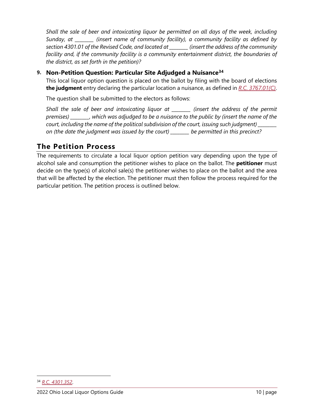*Shall the sale of beer and intoxicating liquor be permitted on all days of the week, including Sunday, at \_\_\_\_\_\_\_\_ (insert name of community facility), a community facility as defined by section 4301.01 of the Revised Code, and located at \_\_\_\_\_\_\_\_ (insert the address of the community*  facility and, if the community facility is a community entertainment district, the boundaries of *the district, as set forth in the petition)?*

# **9. Non-Petition Question: Particular Site Adjudged a Nuisance[34](#page-12-1)**

This local liquor option question is placed on the ballot by filing with the board of elections **the judgment** entry declaring the particular location a nuisance, as defined in *[R.C. 3767.01\(C\)](http://codes.ohio.gov/orc/3767.01)*.

The question shall be submitted to the electors as follows:

*Shall the sale of beer and intoxicating liquor at \_\_\_\_\_\_\_\_ (insert the address of the permit premises) \_\_\_\_\_\_\_\_, which was adjudged to be a nuisance to the public by (insert the name of the court, including the name of the political subdivision of the court, issuing such judgment) \_\_\_\_\_\_\_\_ on (the date the judgment was issued by the court) \_\_\_\_\_\_\_\_ be permitted in this precinct?*

# <span id="page-12-0"></span>**The Petition Process**

The requirements to circulate a local liquor option petition vary depending upon the type of alcohol sale and consumption the petitioner wishes to place on the ballot. The **petitioner** must decide on the type(s) of alcohol sale(s) the petitioner wishes to place on the ballot and the area that will be affected by the election. The petitioner must then follow the process required for the particular petition. The petition process is outlined below.

<span id="page-12-1"></span><sup>34</sup> *[R.C. 4301.352](http://codes.ohio.gov/orc/4301.352)*.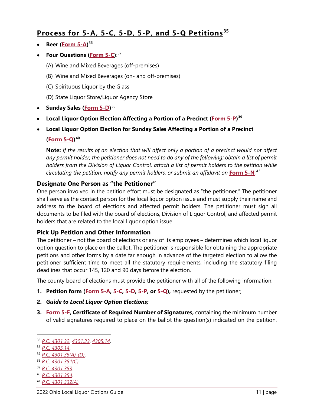# <span id="page-13-0"></span>**Process for 5-A, 5-C, 5-D, 5-P, and 5-Q Petitions [35](#page-13-1)**

- **Beer [\(Form 5-A\)](https://www.sos.state.oh.us/globalassets/elections/forms/5-a.pdf)** [36](#page-13-2)
- **Four Questions [\(Form 5-C\)](https://www.sos.state.oh.us/globalassets/elections/forms/5-c.pdf)**: [37](#page-13-3)
	- (A) Wine and Mixed Beverages (off-premises)
	- (B) Wine and Mixed Beverages (on- and off-premises)
	- (C) Spirituous Liquor by the Glass
	- (D) State Liquor Store/Liquor Agency Store
- **Sunday Sales [\(Form 5-D\)](https://www.sos.state.oh.us/globalassets/elections/forms/5-d.pdf)**[38](#page-13-4)
- **Local Liquor Option Election Affecting a Portion of a Precinct [\(Form 5-P\)](https://www.sos.state.oh.us/globalassets/elections/forms/5-p.pdf) [39](#page-13-5)**
- **Local Liquor Option Election for Sunday Sales Affecting a Portion of a Precinct [\(Form 5-Q\)](https://www.sos.state.oh.us/globalassets/elections/forms/5-q.pdf)[40](#page-13-6)**

**Note:** *If the results of an election that will affect only a portion of a precinct would not affect*  any permit holder, the petitioner does not need to do any of the following: obtain a list of permit *holders from the Division of Liquor Control, attach a list of permit holders to the petition while circulating the petition, notify any permit holders, or submit an affidavit on* **[Form 5-N](https://www.sos.state.oh.us/globalassets/elections/forms/5-n.pdf)***. [41](#page-13-7)*

### **Designate One Person as "the Petitioner"**

One person involved in the petition effort must be designated as "the petitioner." The petitioner shall serve as the contact person for the local liquor option issue and must supply their name and address to the board of elections and affected permit holders. The petitioner must sign all documents to be filed with the board of elections, Division of Liquor Control, and affected permit holders that are related to the local liquor option issue.

### **Pick Up Petition and Other Information**

The petitioner – not the board of elections or any of its employees – determines which local liquor option question to place on the ballot. The petitioner is responsible for obtaining the appropriate petitions and other forms by a date far enough in advance of the targeted election to allow the petitioner sufficient time to meet all the statutory requirements, including the statutory filing deadlines that occur 145, 120 and 90 days before the election.

The county board of elections must provide the petitioner with all of the following information:

- **1. Petition form [\(Form 5-A](https://www.sos.state.oh.us/globalassets/elections/forms/5-a.pdf)***,* **[5-C](https://www.sos.state.oh.us/globalassets/elections/forms/5-c.pdf)***,* **[5-D](https://www.sos.state.oh.us/globalassets/elections/forms/5-d.pdf)***,* **[5-P](https://www.sos.state.oh.us/globalassets/elections/forms/5-p.pdf)***,* **or [5-Q\)](https://www.sos.state.oh.us/globalassets/elections/forms/5-q.pdf),** requested by the petitioner;
- **2.** *Guide to Local Liquor Option Elections;*
- **3. [Form 5-F,](https://www.sos.state.oh.us/globalassets/elections/forms/5-f.pdf) Certificate of Required Number of Signatures,** containing the minimum number of valid signatures required to place on the ballot the question(s) indicated on the petition.

- <span id="page-13-5"></span><sup>39</sup> *[R.C. 4301.353](http://codes.ohio.gov/orc/4301.353)*.
- <span id="page-13-6"></span><sup>40</sup> *[R.C. 4301.354](http://codes.ohio.gov/orc/4301.354)*.
- <span id="page-13-7"></span><sup>41</sup> *[R.C. 4301.332\(A\)](http://codes.ohio.gov/orc/4301.332)*.

<span id="page-13-1"></span><sup>35</sup> *[R.C. 4301.32](http://codes.ohio.gov/orc/4301.32)*, *[4301.33](http://codes.ohio.gov/orc/4301.33)*, *[4305.14](http://codes.ohio.gov/orc/4305.14)*.

<span id="page-13-2"></span><sup>36</sup> *[R.C. 4305.14](http://codes.ohio.gov/orc/4305.14)*.

<span id="page-13-3"></span><sup>37</sup> *[R.C. 4301.35\(A\)-\(D\)](http://codes.ohio.gov/orc/4301.35)*.

<span id="page-13-4"></span><sup>38</sup> *[R.C. 4301.351\(C\)](http://codes.ohio.gov/orc/4301.351)*.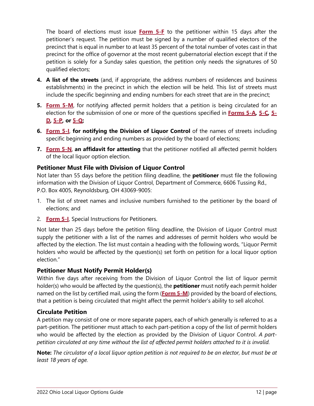The board of elections must issue **[Form 5-F](https://www.sos.state.oh.us/globalassets/elections/forms/5-f.pdf)** to the petitioner within 15 days after the petitioner's request. The petition must be signed by a number of qualified electors of the precinct that is equal in number to at least 35 percent of the total number of votes cast in that precinct for the office of governor at the most recent gubernatorial election except that if the petition is solely for a Sunday sales question, the petition only needs the signatures of 50 qualified electors;

- **4. A list of the streets** (and, if appropriate, the address numbers of residences and business establishments) in the precinct in which the election will be held. This list of streets must include the specific beginning and ending numbers for each street that are in the precinct;
- **5. [Form 5-M](https://www.sos.state.oh.us/globalassets/elections/forms/5-m.pdf)**, for notifying affected permit holders that a petition is being circulated for an election for the submission of one or more of the questions specified in **[Forms 5-A](https://www.sos.state.oh.us/globalassets/elections/forms/5-a.pdf)***,* **[5-C](https://www.sos.state.oh.us/globalassets/elections/forms/5-c.pdf)***,* **[5-](https://www.sos.state.oh.us/globalassets/elections/forms/5-d.pdf) [D](https://www.sos.state.oh.us/globalassets/elections/forms/5-d.pdf)***,* **[5-P](https://www.sos.state.oh.us/globalassets/elections/forms/5-p.pdf)***,* **or [5-Q;](https://www.sos.state.oh.us/globalassets/elections/forms/5-q.pdf)**
- **6. [Form 5-I](https://www.sos.state.oh.us/globalassets/elections/forms/5-i.pdf)**, **for notifying the Division of Liquor Control** of the names of streets including specific beginning and ending numbers as provided by the board of elections;
- **7. [Form 5-N](https://www.sos.state.oh.us/globalassets/elections/forms/5-n.pdf)**, **an affidavit for attesting** that the petitioner notified all affected permit holders of the local liquor option election.

### **Petitioner Must File with Division of Liquor Control**

Not later than 55 days before the petition filing deadline, the **petitioner** must file the following information with the Division of Liquor Control, Department of Commerce, 6606 Tussing Rd., P.O. Box 4005, Reynoldsburg, OH 43069-9005:

- 1. The list of street names and inclusive numbers furnished to the petitioner by the board of elections; and
- 2. **[Form 5-I](https://www.sos.state.oh.us/globalassets/elections/forms/5-i.pdf)**, Special Instructions for Petitioners.

Not later than 25 days before the petition filing deadline, the Division of Liquor Control must supply the petitioner with a list of the names and addresses of permit holders who would be affected by the election. The list must contain a heading with the following words, "Liquor Permit holders who would be affected by the question(s) set forth on petition for a local liquor option election."

### **Petitioner Must Notify Permit Holder(s)**

Within five days after receiving from the Division of Liquor Control the list of liquor permit holder(s) who would be affected by the question(s), the **petitioner** must notify each permit holder named on the list by certified mail, using the form (**[Form 5-M](https://www.sos.state.oh.us/globalassets/elections/forms/5-m.pdf)**) provided by the board of elections, that a petition is being circulated that might affect the permit holder's ability to sell alcohol.

### **Circulate Petition**

A petition may consist of one or more separate papers, each of which generally is referred to as a part-petition. The petitioner must attach to each part-petition a copy of the list of permit holders who would be affected by the election as provided by the Division of Liquor Control. *A partpetition circulated at any time without the list of affected permit holders attached to it is invalid.*

**Note:** *The circulator of a local liquor option petition is not required to be an elector, but must be at least 18 years of age.*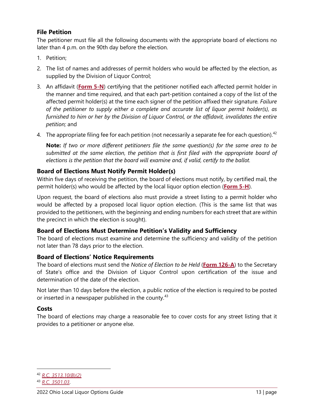### **File Petition**

The petitioner must file all the following documents with the appropriate board of elections no later than 4 p.m. on the 90th day before the election.

- 1. Petition;
- 2. The list of names and addresses of permit holders who would be affected by the election, as supplied by the Division of Liquor Control;
- 3. An affidavit (**[Form 5-N](https://www.sos.state.oh.us/globalassets/elections/forms/5-n.pdf)**) certifying that the petitioner notified each affected permit holder in the manner and time required, and that each part-petition contained a copy of the list of the affected permit holder(s) at the time each signer of the petition affixed their signature*. Failure of the petitioner to supply either a complete and accurate list of liquor permit holder(s), as furnished to him or her by the Division of Liquor Control, or the affidavit, invalidates the entire petition;* and
- 4. The appropriate filing fee for each petition (not necessarily a separate fee for each question).<sup>[42](#page-15-0)</sup>

**Note:** *If two or more different petitioners file the same question(s) for the same area to be submitted at the same election, the petition that is first filed with the appropriate board of elections is the petition that the board will examine and, if valid, certify to the ballot.*

### **Board of Elections Must Notify Permit Holder(s)**

Within five days of receiving the petition, the board of elections must notify, by certified mail, the permit holder(s) who would be affected by the local liquor option election (**[Form 5-H](https://www.sos.state.oh.us/globalassets/elections/forms/5-h.pdf)**).

Upon request, the board of elections also must provide a street listing to a permit holder who would be affected by a proposed local liquor option election. (This is the same list that was provided to the petitioners, with the beginning and ending numbers for each street that are within the precinct in which the election is sought).

### **Board of Elections Must Determine Petition's Validity and Sufficiency**

The board of elections must examine and determine the sufficiency and validity of the petition not later than 78 days prior to the election.

### **Board of Elections' Notice Requirements**

The board of elections must send the *Notice of Election to be Held* (**[Form 126-A](https://www.sos.state.oh.us/globalassets/elections/forms/126-a.pdf)**) to the Secretary of State's office and the Division of Liquor Control upon certification of the issue and determination of the date of the election.

Not later than 10 days before the election, a public notice of the election is required to be posted or inserted in a newspaper published in the county.<sup>[43](#page-15-1)</sup>

### **Costs**

The board of elections may charge a reasonable fee to cover costs for any street listing that it provides to a petitioner or anyone else.

<span id="page-15-0"></span><sup>42</sup> *[R.C. 3513.10\(B\)\(2\)](http://codes.ohio.gov/orc/3513.10)*

<span id="page-15-1"></span><sup>43</sup> *[R.C. 3501.03](http://codes.ohio.gov/orc/3501.03)*.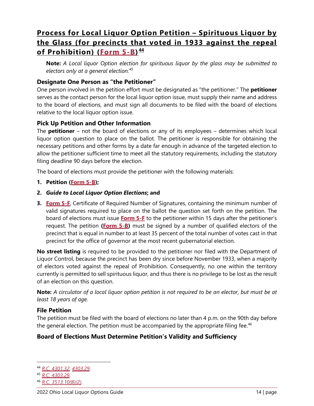# <span id="page-16-0"></span>**Process for Local Liquor Option Petition – Spirituous Liquor by the Glass (for precincts that voted in 1933 against the repeal of Prohibition) [\(Form 5-B\)](https://www.sos.state.oh.us/globalassets/elections/forms/5-b.pdf) [44](#page-16-1)**

**Note:** *A Local liquor Option election for spirituous liquor by the glass may be submitted to electors only at a general election.[45](#page-16-2)*

### **Designate One Person as "the Petitioner"**

One person involved in the petition effort must be designated as "the petitioner." The **petitioner** serves as the contact person for the local liquor option issue, must supply their name and address to the board of elections, and must sign all documents to be filed with the board of elections relative to the local liquor option issue.

### **Pick Up Petition and Other Information**

The **petitioner** – not the board of elections or any of its employees – determines which local liquor option question to place on the ballot. The petitioner is responsible for obtaining the necessary petitions and other forms by a date far enough in advance of the targeted election to allow the petitioner sufficient time to meet all the statutory requirements, including the statutory filing deadline 90 days before the election.

The board of elections must provide the petitioner with the following materials:

### **1. Petition [\(Form 5-B\)](https://www.sos.state.oh.us/globalassets/elections/forms/5-b.pdf);**

- **2.** *Guide to Local Liquor Option Elections***; and**
- **3. [Form 5-F](https://www.sos.state.oh.us/globalassets/elections/forms/5-f.pdf)**, Certificate of Required Number of Signatures, containing the minimum number of valid signatures required to place on the ballot the question set forth on the petition. The board of elections must issue **[Form 5-F](https://www.sos.state.oh.us/globalassets/elections/forms/5-f.pdf)** to the petitioner within 15 days after the petitioner's request. The petition **[\(Form 5-B\)](https://www.sos.state.oh.us/globalassets/elections/forms/5-b.pdf)** must be signed by a number of qualified electors of the precinct that is equal in number to at least 35 percent of the total number of votes cast in that precinct for the office of governor at the most recent gubernatorial election.

**No street listing** is required to be provided to the petitioner nor filed with the Department of Liquor Control, because the precinct has been dry since before November 1933, when a majority of electors voted against the repeal of Prohibition. Consequently, no one within the territory currently is permitted to sell spirituous liquor, and thus there is no privilege to be lost as the result of an election on this question.

**Note:** *A circulator of a local liquor option petition is not required to be an elector, but must be at least 18 years of age.*

### **File Petition**

The petition must be filed with the board of elections no later than 4 p.m. on the 90th day before the general election. The petition must be accompanied by the appropriate filing fee.<sup>[46](#page-16-3)</sup>

### **Board of Elections Must Determine Petition's Validity and Sufficiency**

<span id="page-16-1"></span><sup>44</sup> *[R.C. 4301.32](http://codes.ohio.gov/orc/4301.32)*, *[4303.29](http://codes.ohio.gov/orc/4303.29)*.

<span id="page-16-2"></span><sup>45</sup> *[R.C. 4303.29](http://codes.ohio.gov/orc/4303.29)*.

<span id="page-16-3"></span><sup>46</sup> *[R.C. 3513.10\(B\)\(2\)](http://codes.ohio.gov/orc/3513.10)*.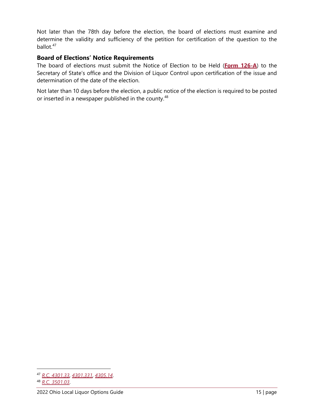Not later than the 78th day before the election, the board of elections must examine and determine the validity and sufficiency of the petition for certification of the question to the ballot.<sup>[47](#page-17-0)</sup>

### **Board of Elections' Notice Requirements**

The board of elections must submit the Notice of Election to be Held (**[Form 126-A](https://www.sos.state.oh.us/globalassets/elections/forms/126-a.pdf)**) to the Secretary of State's office and the Division of Liquor Control upon certification of the issue and determination of the date of the election.

Not later than 10 days before the election, a public notice of the election is required to be posted or inserted in a newspaper published in the county.<sup>[48](#page-17-1)</sup>

<span id="page-17-1"></span><span id="page-17-0"></span><sup>47</sup> *[R.C. 4301.33](http://codes.ohio.gov/orc/4301.33)*, *[4301.331](http://codes.ohio.gov/orc/4301.331)*, *[4305.14](http://codes.ohio.gov/orc/4305.14)*. <sup>48</sup> *[R.C. 3501.03](http://codes.ohio.gov/orc/3501.03)*.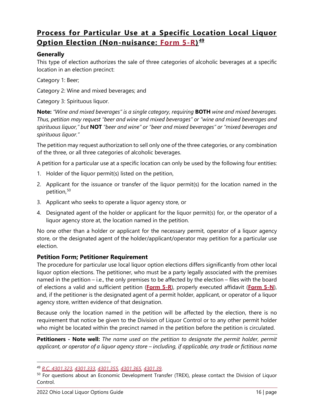# <span id="page-18-0"></span>**Process for Particular Use at a Specific Location Local Liquor Option Election (Non-nuisance: [Form 5-R\)](https://www.sos.state.oh.us/globalassets/elections/forms/5-r.pdf) [49](#page-18-1)**

### **Generally**

This type of election authorizes the sale of three categories of alcoholic beverages at a specific location in an election precinct:

Category 1: Beer;

Category 2: Wine and mixed beverages; and

Category 3: Spirituous liquor.

**Note:** *"Wine and mixed beverages" is a single category, requiring* **BOTH** *wine and mixed beverages. Thus, petition may request "beer and wine and mixed beverages" or "wine and mixed beverages and spirituous liquor," but* **NOT** *"beer and wine" or "beer and mixed beverages" or "mixed beverages and spirituous liquor."*

The petition may request authorization to sell only one of the three categories, or any combination of the three, or all three categories of alcoholic beverages.

A petition for a particular use at a specific location can only be used by the following four entities:

- 1. Holder of the liquor permit(s) listed on the petition,
- 2. Applicant for the issuance or transfer of the liquor permit(s) for the location named in the petition,<sup>[50](#page-18-2)</sup>
- 3. Applicant who seeks to operate a liquor agency store, or
- 4. Designated agent of the holder or applicant for the liquor permit(s) for, or the operator of a liquor agency store at, the location named in the petition.

No one other than a holder or applicant for the necessary permit, operator of a liquor agency store, or the designated agent of the holder/applicant/operator may petition for a particular use election.

### **Petition Form; Petitioner Requirement**

The procedure for particular use local liquor option elections differs significantly from other local liquor option elections. The petitioner, who must be a party legally associated with the premises named in the petition – i.e., the only premises to be affected by the election – files with the board of elections a valid and sufficient petition (**[Form 5-R](https://www.sos.state.oh.us/globalassets/elections/forms/5-r.pdf)**), properly executed affidavit (**[Form 5-N](https://www.sos.state.oh.us/globalassets/elections/forms/5-n.pdf)**), and, if the petitioner is the designated agent of a permit holder, applicant, or operator of a liquor agency store, written evidence of that designation.

Because only the location named in the petition will be affected by the election, there is no requirement that notice be given to the Division of Liquor Control or to any other permit holder who might be located within the precinct named in the petition before the petition is circulated.

**Petitioners - Note well:** *The name used on the petition to designate the permit holder, permit applicant, or operator of a liquor agency store – including, if applicable, any trade or fictitious name* 

<span id="page-18-1"></span><sup>49</sup> *[R.C. 4301.323](http://codes.ohio.gov/orc/4301.323)*, *[4301.333](http://codes.ohio.gov/orc/4301.333)*, *[4301.355](http://codes.ohio.gov/orc/4301.355)*, *[4301.365](http://codes.ohio.gov/orc/4301.365)*, *[4301.39](http://codes.ohio.gov/orc/4301.39)*.

<span id="page-18-2"></span><sup>&</sup>lt;sup>50</sup> For questions about an Economic Development Transfer (TREX), please contact the Division of Liquor Control.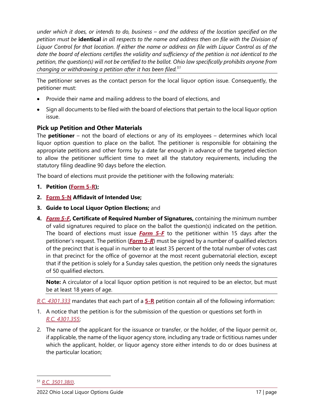*under which it does, or intends to do, business – and the address of the location specified on the petition must be* **identical** *in all respects to the name and address then on file with the Division of Liquor Control for that location. If either the name or address on file with Liquor Control as of the date the board of elections certifies the validity and sufficiency of the petition is not identical to the petition, the question(s) will not be certified to the ballot. Ohio law specifically prohibits anyone from changing or withdrawing a petition after it has been filed.[51](#page-19-0)*

The petitioner serves as the contact person for the local liquor option issue. Consequently, the petitioner must:

- Provide their name and mailing address to the board of elections, and
- Sign all documents to be filed with the board of elections that pertain to the local liquor option issue.

### **Pick up Petition and Other Materials**

The **petitioner** – not the board of elections or any of its employees – determines which local liquor option question to place on the ballot. The petitioner is responsible for obtaining the appropriate petitions and other forms by a date far enough in advance of the targeted election to allow the petitioner sufficient time to meet all the statutory requirements, including the statutory filing deadline 90 days before the election.

The board of elections must provide the petitioner with the following materials:

- **1. Petition [\(Form 5-R\)](https://www.sos.state.oh.us/globalassets/elections/forms/5-r.pdf);**
- **2. [Form 5-N](https://www.sos.state.oh.us/globalassets/elections/forms/5-n.pdf) Affidavit of Intended Use;**
- **3. Guide to Local Liquor Option Elections;** and
- **4.** *[Form 5-F](https://www.sos.state.oh.us/globalassets/elections/forms/5-f.pdf)***, Certificate of Required Number of Signatures,** containing the minimum number of valid signatures required to place on the ballot the question(s) indicated on the petition. The board of elections must issue *[Form 5-F](https://www.sos.state.oh.us/globalassets/elections/forms/5-f.pdf)* to the petitioner within 15 days after the petitioner's request. The petition (*[Form 5-R](https://www.sos.state.oh.us/globalassets/elections/forms/5-r.pdf)*) must be signed by a number of qualified electors of the precinct that is equal in number to at least 35 percent of the total number of votes cast in that precinct for the office of governor at the most recent gubernatorial election, except that if the petition is solely for a Sunday sales question, the petition only needs the signatures of 50 qualified electors.

**Note:** A circulator of a local liquor option petition is not required to be an elector, but must be at least 18 years of age.

*[R.C. 4301.333](http://codes.ohio.gov/orc/4301.333)* mandates that each part of a **[5-R](https://www.sos.state.oh.us/globalassets/elections/forms/5-r.pdf)** petition contain all of the following information:

- 1. A notice that the petition is for the submission of the question or questions set forth in *[R.C. 4301.355](http://codes.ohio.gov/orc/4301.355)*;
- 2. The name of the applicant for the issuance or transfer, or the holder, of the liquor permit or, if applicable, the name of the liquor agency store, including any trade or fictitious names under which the applicant, holder, or liquor agency store either intends to do or does business at the particular location;

<span id="page-19-0"></span><sup>51</sup> *[R.C. 3501.38\(I\)](http://codes.ohio.gov/orc/3501.38)*.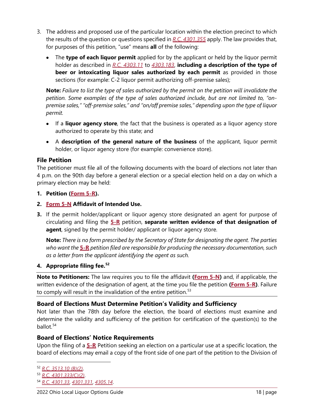- 3. The address and proposed use of the particular location within the election precinct to which the results of the question or questions specified in *[R.C. 4301.355](http://codes.ohio.gov/orc/4301.355)* apply. The law provides that, for purposes of this petition, "use" means **all** of the following:
	- The **type of each liquor permit** applied for by the applicant or held by the liquor permit holder as described in *[R.C. 4303.11](http://codes.ohio.gov/orc/4303.11)* to *[4303.183](http://codes.ohio.gov/orc/4303.183)*, **including a description of the type of beer or intoxicating liquor sales authorized by each permit** as provided in those sections (for example: C-2 liquor permit authorizing off-premise sales);

**Note:** *Failure to list the type of sales authorized by the permit on the petition will invalidate the petition. Some examples of the type of sales authorized include, but are not limited to, "onpremise sales," "off-premise sales," and "on/off premise sales," depending upon the type of liquor permit.*

- If a **liquor agency store**, the fact that the business is operated as a liquor agency store authorized to operate by this state; and
- A **description of the general nature of the business** of the applicant, liquor permit holder, or liquor agency store (for example: convenience store).

### **File Petition**

The petitioner must file all of the following documents with the board of elections not later than 4 p.m. on the 90th day before a general election or a special election held on a day on which a primary election may be held:

- **1. Petition [\(Form 5-R\)](https://www.sos.state.oh.us/globalassets/elections/forms/5-r.pdf).**
- **2. [Form 5-N](https://www.sos.state.oh.us/globalassets/elections/forms/5-n.pdf) Affidavit of Intended Use.**
- **3.** If the permit holder/applicant or liquor agency store designated an agent for purpose of circulating and filing the **[5-R](https://www.sos.state.oh.us/globalassets/elections/forms/5-r.pdf)** petition, **separate written evidence of that designation of agent**, signed by the permit holder/ applicant or liquor agency store.

**Note:** *There is no form prescribed by the Secretary of State for designating the agent. The parties who want the* **[5-R](https://www.sos.state.oh.us/globalassets/elections/forms/5-r.pdf)** *petition filed are responsible for producing the necessary documentation, such as a letter from the applicant identifying the agent as such.*

### **4. Appropriate filing fee.[52](#page-20-0)**

**Note to Petitioners:** The law requires you to file the affidavit **[\(Form 5-N\)](https://www.sos.state.oh.us/globalassets/elections/forms/5-n.pdf)** and, if applicable, the written evidence of the designation of agent, at the time you file the petition **[\(Form 5-R\)](https://www.sos.state.oh.us/globalassets/elections/forms/5-r.pdf)**. Failure to comply will result in the invalidation of the entire petition.<sup>[53](#page-20-1)</sup>

### **Board of Elections Must Determine Petition's Validity and Sufficiency**

Not later than the 78th day before the election, the board of elections must examine and determine the validity and sufficiency of the petition for certification of the question(s) to the ballot.<sup>[54](#page-20-2)</sup>

### **Board of Elections' Notice Requirements**

Upon the filing of a **[5-R](https://www.sos.state.oh.us/globalassets/elections/forms/5-r.pdf)** Petition seeking an election on a particular use at a specific location, the board of elections may email a copy of the front side of one part of the petition to the Division of

<span id="page-20-1"></span><sup>53</sup> *[R.C. 4301.333\(C\)\(2\)](http://codes.ohio.gov/orc/4301.333)*.

<span id="page-20-0"></span><sup>52</sup> *[R.C. 3513.10 \(B\)\(2\)](http://codes.ohio.gov/orc/3513.10)*.

<span id="page-20-2"></span><sup>54</sup> *[R.C. 4301.33](http://codes.ohio.gov/orc/4301.33)*, *[4301.331](http://codes.ohio.gov/orc/4301.331)*, *[4305.14](http://codes.ohio.gov/orc/4305.14)*.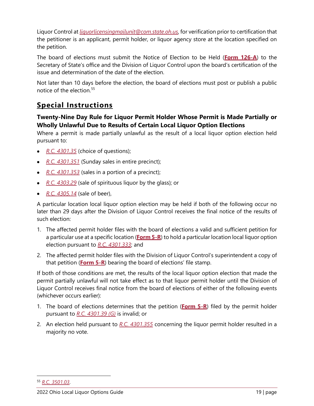Liquor Control at *[liquorlicensingmailunit@com.state.oh.us](mailto:liquorlicensingmailunit@com.state.oh.us)*, for verification prior to certification that the petitioner is an applicant, permit holder, or liquor agency store at the location specified on the petition.

The board of elections must submit the Notice of Election to be Held (**[Form 126-A](https://www.sos.state.oh.us/globalassets/elections/forms/126-a.pdf)**) to the Secretary of State's office and the Division of Liquor Control upon the board's certification of the issue and determination of the date of the election.

Not later than 10 days before the election, the board of elections must post or publish a public notice of the election.<sup>[55](#page-21-1)</sup>

# <span id="page-21-0"></span>**Special Instructions**

# **Twenty-Nine Day Rule for Liquor Permit Holder Whose Permit is Made Partially or Wholly Unlawful Due to Results of Certain Local Liquor Option Elections**

Where a permit is made partially unlawful as the result of a local liquor option election held pursuant to:

- *[R.C. 4301.35](http://codes.ohio.gov/orc/4301.35)* (choice of questions);
- *[R.C. 4301.351](http://codes.ohio.gov/orc/4301.351)* (Sunday sales in entire precinct);
- *[R.C. 4301.353](http://codes.ohio.gov/orc/4301.353)* (sales in a portion of a precinct);
- *[R.C. 4303.29](http://codes.ohio.gov/orc/4303.29)* (sale of spirituous liquor by the glass); or
- *[R.C. 4305.14](http://codes.ohio.gov/orc/4305.14)* (sale of beer),

A particular location local liquor option election may be held if both of the following occur no later than 29 days after the Division of Liquor Control receives the final notice of the results of such election:

- 1. The affected permit holder files with the board of elections a valid and sufficient petition for a particular use at a specific location (**[Form 5-R](https://www.sos.state.oh.us/globalassets/elections/forms/5-r.pdf)**) to hold a particular location local liquor option election pursuant to *[R.C. 4301.333](http://codes.ohio.gov/orc/4301.333)*; and
- 2. The affected permit holder files with the Division of Liquor Control's superintendent a copy of that petition (**[Form 5-R](https://www.sos.state.oh.us/globalassets/elections/forms/5-r.pdf)**) bearing the board of elections' file stamp.

If both of those conditions are met, the results of the local liquor option election that made the permit partially unlawful will not take effect as to that liquor permit holder until the Division of Liquor Control receives final notice from the board of elections of either of the following events (whichever occurs earlier):

- 1. The board of elections determines that the petition (**[Form 5-R](https://www.sos.state.oh.us/globalassets/elections/forms/5-r.pdf)**) filed by the permit holder pursuant to *[R.C. 4301.39 \(G\)](http://codes.ohio.gov/orc/4301.39)* is invalid; or
- 2. An election held pursuant to *[R.C. 4301.355](http://codes.ohio.gov/orc/4301.355)* concerning the liquor permit holder resulted in a majority no vote.

<span id="page-21-1"></span><sup>55</sup> *[R.C. 3501.03](http://codes.ohio.gov/orc/3501.03)*.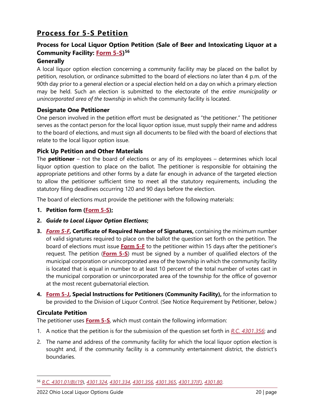# <span id="page-22-0"></span>**Process for 5-S Petition**

# **Process for Local Liquor Option Petition (Sale of Beer and Intoxicating Liquor at a Community Facility: [Form 5-S\)](https://www.sos.state.oh.us/globalassets/elections/forms/5-s.pdf)[56](#page-22-1)**

### **Generally**

A local liquor option election concerning a community facility may be placed on the ballot by petition, resolution, or ordinance submitted to the board of elections no later than 4 p.m. of the 90th day prior to a general election or a special election held on a day on which a primary election may be held. Such an election is submitted to the electorate of the *entire municipality or unincorporated area of the township* in which the community facility is located.

### **Designate One Petitioner**

One person involved in the petition effort must be designated as "the petitioner." The petitioner serves as the contact person for the local liquor option issue, must supply their name and address to the board of elections, and must sign all documents to be filed with the board of elections that relate to the local liquor option issue.

### **Pick Up Petition and Other Materials**

The **petitioner** – not the board of elections or any of its employees – determines which local liquor option question to place on the ballot. The petitioner is responsible for obtaining the appropriate petitions and other forms by a date far enough in advance of the targeted election to allow the petitioner sufficient time to meet all the statutory requirements, including the statutory filing deadlines occurring 120 and 90 days before the election.

The board of elections must provide the petitioner with the following materials:

- **1. Petition form [\(Form 5-S\)](https://www.sos.state.oh.us/globalassets/elections/forms/5-s.pdf);**
- **2.** *Guide to Local Liquor Option Elections***;**
- **3.** *[Form 5-F](https://www.sos.state.oh.us/globalassets/elections/forms/5-f.pdf)***, Certificate of Required Number of Signatures,** containing the minimum number of valid signatures required to place on the ballot the question set forth on the petition. The board of elections must issue **[Form 5-F](https://www.sos.state.oh.us/globalassets/elections/forms/5-f.pdf)** to the petitioner within 15 days after the petitioner's request. The petition (**[Form 5-S](https://www.sos.state.oh.us/globalassets/elections/forms/5-s.pdf)**) must be signed by a number of qualified electors of the municipal corporation or unincorporated area of the township in which the community facility is located that is equal in number to at least 10 percent of the total number of votes cast in the municipal corporation or unincorporated area of the township for the office of governor at the most recent gubernatorial election.
- **4. [Form 5-J,](https://www.sos.state.oh.us/globalassets/elections/forms/5-j.pdf) Special Instructions for Petitioners (Community Facility),** for the information to be provided to the Division of Liquor Control. (See Notice Requirement by Petitioner, below.)

### **Circulate Petition**

The petitioner uses **[Form 5-S](https://www.sos.state.oh.us/globalassets/elections/forms/5-s.pdf)**, which must contain the following information:

- 1. A notice that the petition is for the submission of the question set forth in *[R.C. 4301.356](http://codes.ohio.gov/orc/4301.356)*; and
- 2. The name and address of the community facility for which the local liquor option election is sought and, if the community facility is a community entertainment district, the district's boundaries.

<span id="page-22-1"></span><sup>56</sup> *[R.C. 4301.01\(B\)\(19](http://codes.ohio.gov/orc/4301.01)*), *[4301.324](http://codes.ohio.gov/orc/4301.324)*, *[4301.334](http://codes.ohio.gov/orc/4301.334)*, *[4301.356](http://codes.ohio.gov/orc/4301.356)*, *[4301.365](http://codes.ohio.gov/orc/4301.365)*, *[4301.37\(F\)](http://codes.ohio.gov/orc/4301.37)*, *[4301.80](http://codes.ohio.gov/orc/4301.80)*.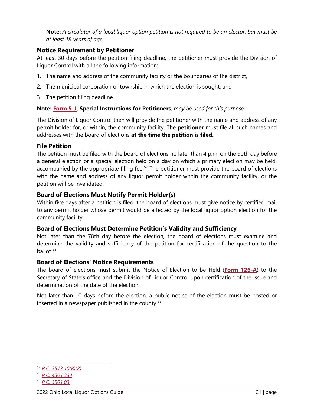**Note:** *A circulator of a local liquor option petition is not required to be an elector, but must be at least 18 years of age.* 

## **Notice Requirement by Petitioner**

At least 30 days before the petition filing deadline, the petitioner must provide the Division of Liquor Control with all the following information:

- 1. The name and address of the community facility or the boundaries of the district,
- 2. The municipal corporation or township in which the election is sought, and
- 3. The petition filing deadline.

### **Note: [Form 5-J,](https://www.sos.state.oh.us/globalassets/elections/forms/5-j.pdf) Special Instructions for Petitioners***, may be used for this purpose.*

The Division of Liquor Control then will provide the petitioner with the name and address of any permit holder for, or within, the community facility. The **petitioner** must file all such names and addresses with the board of elections **at the time the petition is filed.**

### **File Petition**

The petition must be filed with the board of elections no later than 4 p.m. on the 90th day before a general election or a special election held on a day on which a primary election may be held, accompanied by the appropriate filing fee. $57$  The petitioner must provide the board of elections with the name and address of any liquor permit holder within the community facility, or the petition will be invalidated.

### **Board of Elections Must Notify Permit Holder(s)**

Within five days after a petition is filed, the board of elections must give notice by certified mail to any permit holder whose permit would be affected by the local liquor option election for the community facility.

### **Board of Elections Must Determine Petition's Validity and Sufficiency**

Not later than the 78th day before the election, the board of elections must examine and determine the validity and sufficiency of the petition for certification of the question to the ballot.[58](#page-23-1)

### **Board of Elections' Notice Requirements**

The board of elections must submit the Notice of Election to be Held (**[Form 126-A](https://www.sos.state.oh.us/globalassets/elections/forms/126-a.pdf)**) to the Secretary of State's office and the Division of Liquor Control upon certification of the issue and determination of the date of the election.

Not later than 10 days before the election, a public notice of the election must be posted or inserted in a newspaper published in the county.<sup>[59](#page-23-2)</sup>

<span id="page-23-0"></span><sup>57</sup> *[R.C. 3513.10\(B\)\(2\)](http://codes.ohio.gov/orc/3513.10)*.

<span id="page-23-1"></span><sup>58</sup> *[R.C. 4301.334](http://codes.ohio.gov/orc/4301.334)*

<span id="page-23-2"></span><sup>59</sup> *[R.C. 3501.03](http://codes.ohio.gov/orc/3501.03)*.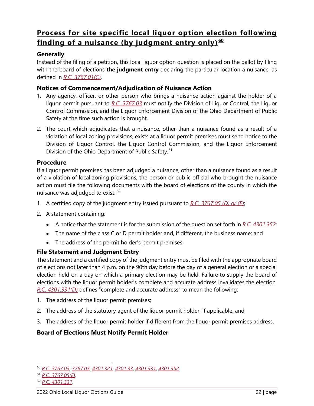# <span id="page-24-0"></span>**Process for site specific local liquor option election following finding of a nuisance (by judgment entry only) [60](#page-24-1)**

# **Generally**

Instead of the filing of a petition, this local liquor option question is placed on the ballot by filing with the board of elections **the judgment entry** declaring the particular location a nuisance, as defined in *[R.C. 3767.01\(C\)](http://codes.ohio.gov/orc/3767.01)*.

### **Notices of Commencement/Adjudication of Nuisance Action**

- 1. Any agency, officer, or other person who brings a nuisance action against the holder of a liquor permit pursuant to *[R.C. 3767.03](http://codes.ohio.gov/orc/3767.03)* must notify the Division of Liquor Control, the Liquor Control Commission, and the Liquor Enforcement Division of the Ohio Department of Public Safety at the time such action is brought.
- 2. The court which adjudicates that a nuisance, other than a nuisance found as a result of a violation of local zoning provisions, exists at a liquor permit premises must send notice to the Division of Liquor Control, the Liquor Control Commission, and the Liquor Enforcement Division of the Ohio Department of Public Safety.<sup>[61](#page-24-2)</sup>

### **Procedure**

If a liquor permit premises has been adjudged a nuisance, other than a nuisance found as a result of a violation of local zoning provisions, the person or public official who brought the nuisance action must file the following documents with the board of elections of the county in which the nuisance was adjudged to exist: [62](#page-24-3)

- 1. A certified copy of the judgment entry issued pursuant to *[R.C. 3767.05 \(D\) or \(E\)](http://codes.ohio.gov/orc/3767.05)*;
- 2. A statement containing:
	- A notice that the statement is for the submission of the question set forth in *[R.C. 4301.352](http://codes.ohio.gov/orc/4301.352)*;
	- The name of the class C or D permit holder and, if different, the business name; and
	- The address of the permit holder's permit premises.

### **File Statement and Judgment Entry**

The statement and a certified copy of the judgment entry must be filed with the appropriate board of elections not later than 4 p.m. on the 90th day before the day of a general election or a special election held on a day on which a primary election may be held. Failure to supply the board of elections with the liquor permit holder's complete and accurate address invalidates the election. *[R.C. 4301.331\(D\)](http://codes.ohio.gov/orc/4301.331)* defines "complete and accurate address" to mean the following:

- 1. The address of the liquor permit premises;
- 2. The address of the statutory agent of the liquor permit holder, if applicable; and
- 3. The address of the liquor permit holder if different from the liquor permit premises address.

### **Board of Elections Must Notify Permit Holder**

<span id="page-24-1"></span><sup>60</sup> *[R.C. 3767.03](http://codes.ohio.gov/orc/3767.03)*, *[3767.05](http://codes.ohio.gov/orc/3767.05)*, *[4301.321](http://codes.ohio.gov/orc/4301.321)*, *[4301.33](http://codes.ohio.gov/orc/4301.33)*, *[4301.331](http://codes.ohio.gov/orc/4301.331)*, *[4301.352](http://codes.ohio.gov/orc/4301.352)*.

<span id="page-24-2"></span><sup>61</sup> *[R.C. 3767.05\(E\)](http://codes.ohio.gov/orc/3767.05)*.

<span id="page-24-3"></span><sup>62</sup> *[R.C. 4301.331](http://codes.ohio.gov/orc/4301.331)*.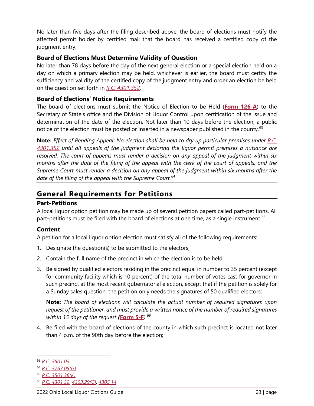No later than five days after the filing described above, the board of elections must notify the affected permit holder by certified mail that the board has received a certified copy of the judgment entry.

### **Board of Elections Must Determine Validity of Question**

No later than 78 days before the day of the next general election or a special election held on a day on which a primary election may be held, whichever is earlier, the board must certify the sufficiency and validity of the certified copy of the judgment entry and order an election be held on the question set forth in *[R.C. 4301.352](http://codes.ohio.gov/orc/4301.352)*.

### **Board of Elections' Notice Requirements**

The board of elections must submit the Notice of Election to be Held (**[Form 126-A](https://www.sos.state.oh.us/globalassets/elections/forms/126-a.pdf)**) to the Secretary of State's office and the Division of Liquor Control upon certification of the issue and determination of the date of the election. Not later than 10 days before the election, a public notice of the election must be posted or inserted in a newspaper published in the county.<sup>[63](#page-25-1)</sup>

**Note:** *Effect of Pending Appeal: No election shall be held to dry up particular premises under [R.C.](http://codes.ohio.gov/orc/4301.352)  [4301.352](http://codes.ohio.gov/orc/4301.352) until all appeals of the judgment declaring the liquor permit premises a nuisance are resolved. The court of appeals must render a decision on any appeal of the judgment within six months after the date of the filing of the appeal with the clerk of the court of appeals, and the Supreme Court must render a decision on any appeal of the judgment within six months after the date of the filing of the appeal with the Supreme Court.[64](#page-25-2)*

# <span id="page-25-0"></span>**General Requirements for Petitions**

### **Part-Petitions**

A local liquor option petition may be made up of several petition papers called part-petitions. All part-petitions must be filed with the board of elections at one time, as a single instrument.<sup>[65](#page-25-3)</sup>

### **Content**

A petition for a local liquor option election must satisfy all of the following requirements:

- 1. Designate the question(s) to be submitted to the electors;
- 2. Contain the full name of the precinct in which the election is to be held;
- 3. Be signed by qualified electors residing in the precinct equal in number to 35 percent (except for community facility which is 10 percent) of the total number of votes cast for governor in such precinct at the most recent gubernatorial election, except that if the petition is solely for a Sunday sales question, the petition only needs the signatures of 50 qualified electors;

**Note:** *The board of elections will calculate the actual number of required signatures upon request of the petitioner, and must provide a written notice of the number of required signatures within 15 days of the request (***[Form 5-F](https://www.sos.state.oh.us/globalassets/elections/forms/5-f.pdf)***).[66](#page-25-4)*

4. Be filed with the board of elections of the county in which such precinct is located not later than 4 p.m. of the 90th day before the election;

<span id="page-25-1"></span><sup>63</sup> *[R.C. 3501.03](http://codes.ohio.gov/orc/3501.03)*.

<span id="page-25-2"></span><sup>64</sup> *[R.C. 3767.05\(G\)](http://codes.ohio.gov/orc/3767.05)*.

<span id="page-25-3"></span><sup>65</sup> *[R.C. 3501.38\(K\)](http://codes.ohio.gov/orc/3501.38)*.

<span id="page-25-4"></span><sup>66</sup> *[R.C. 4301.32](http://codes.ohio.gov/orc/4301.32)*, *[4303.29\(C\)](http://codes.ohio.gov/orc/4303.29)*, *[4305.14](http://codes.ohio.gov/orc/4305.14)*.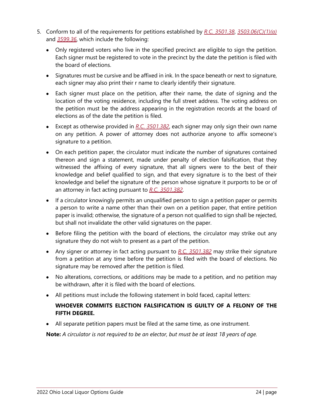- 5. Conform to all of the requirements for petitions established by *[R.C. 3501.38](http://codes.ohio.gov/orc/3501.38)*, *[3503.06\(C\)\(1\)\(a\)](http://codes.ohio.gov/orc/3503.06)* and *[3599.36](http://codes.ohio.gov/orc/3599.36)*, which include the following:
	- Only registered voters who live in the specified precinct are eligible to sign the petition. Each signer must be registered to vote in the precinct by the date the petition is filed with the board of elections.
	- Signatures must be cursive and be affixed in ink. In the space beneath or next to signature, each signer may also print their r name to clearly identify their signature.
	- Each signer must place on the petition, after their name, the date of signing and the location of the voting residence, including the full street address. The voting address on the petition must be the address appearing in the registration records at the board of elections as of the date the petition is filed.
	- Except as otherwise provided in *[R.C. 3501.382](http://codes.ohio.gov/orc/3501.382)*, each signer may only sign their own name on any petition. A power of attorney does not authorize anyone to affix someone's signature to a petition.
	- On each petition paper, the circulator must indicate the number of signatures contained thereon and sign a statement, made under penalty of election falsification, that they witnessed the affixing of every signature, that all signers were to the best of their knowledge and belief qualified to sign, and that every signature is to the best of their knowledge and belief the signature of the person whose signature it purports to be or of an attorney in fact acting pursuant to *[R.C. 3501.382](http://codes.ohio.gov/orc/3501.382)*.
	- If a circulator knowingly permits an unqualified person to sign a petition paper or permits a person to write a name other than their own on a petition paper, that entire petition paper is invalid; otherwise, the signature of a person not qualified to sign shall be rejected, but shall not invalidate the other valid signatures on the paper.
	- Before filing the petition with the board of elections, the circulator may strike out any signature they do not wish to present as a part of the petition.
	- Any signer or attorney in fact acting pursuant to *[R.C. 3501.382](http://codes.ohio.gov/orc/3501.382)* may strike their signature from a petition at any time before the petition is filed with the board of elections. No signature may be removed after the petition is filed.
	- No alterations, corrections, or additions may be made to a petition, and no petition may be withdrawn, after it is filed with the board of elections.
	- All petitions must include the following statement in bold faced, capital letters:

### **WHOEVER COMMITS ELECTION FALSIFICATION IS GUILTY OF A FELONY OF THE FIFTH DEGREE.**

• All separate petition papers must be filed at the same time, as one instrument.

**Note:** *A circulator is not required to be an elector, but must be at least 18 years of age.*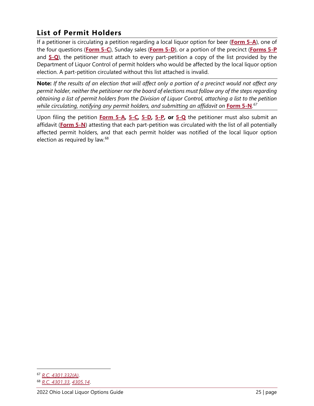# <span id="page-27-0"></span>**List of Permit Holders**

If a petitioner is circulating a petition regarding a local liquor option for beer (**[Form 5-A](https://www.sos.state.oh.us/globalassets/elections/forms/5-a.pdf)**), one of the four questions (**[Form 5-C](https://www.sos.state.oh.us/globalassets/elections/forms/5-c.pdf)**), Sunday sales (**[Form 5-D](https://www.sos.state.oh.us/globalassets/elections/forms/5-d.pdf)**), or a portion of the precinct (**[Forms 5-P](https://www.sos.state.oh.us/globalassets/elections/forms/5-p.pdf)** and **[5-Q](https://www.sos.state.oh.us/globalassets/elections/forms/5-q.pdf)**), the petitioner must attach to every part-petition a copy of the list provided by the Department of Liquor Control of permit holders who would be affected by the local liquor option election. A part-petition circulated without this list attached is invalid.

**Note:** *If the results of an election that will affect only a portion of a precinct would not affect any permit holder, neither the petitioner nor the board of elections must follow any of the steps regarding obtaining a list of permit holders from the Division of Liquor Control, attaching a list to the petition*  while circulating, notifying any permit holders, and submitting an affidavit on <mark>[Form 5-N](https://www.sos.state.oh.us/globalassets/elections/forms/5-n.pdf)</mark>.<sup>[67](#page-27-1)</sup>

Upon filing the petition **[Form 5-A](https://www.sos.state.oh.us/globalassets/elections/forms/5-a.pdf)***,* **[5-C](https://www.sos.state.oh.us/globalassets/elections/forms/5-c.pdf)***,* **[5-D](https://www.sos.state.oh.us/globalassets/elections/forms/5-d.pdf)***,* **[5-P](https://www.sos.state.oh.us/globalassets/elections/forms/5-p.pdf)***,* **or [5-Q](https://www.sos.state.oh.us/globalassets/elections/forms/5-q.pdf)** the petitioner must also submit an affidavit (**[Form 5-N](https://www.sos.state.oh.us/globalassets/elections/forms/5-n.pdf)**) attesting that each part-petition was circulated with the list of all potentially affected permit holders, and that each permit holder was notified of the local liquor option election as required by law. $68$ 

<span id="page-27-1"></span><sup>67</sup> *[R.C. 4301.332\(A\)](http://codes.ohio.gov/orc/4301.332)*.

<span id="page-27-2"></span><sup>68</sup> *[R.C. 4301.33](http://codes.ohio.gov/orc/4301.33)*, *[4305.14](http://codes.ohio.gov/orc/4305.14)*.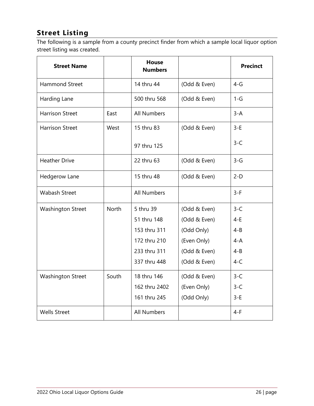# <span id="page-28-0"></span>**Street Listing**

The following is a sample from a county precinct finder from which a sample local liquor option street listing was created.

| <b>Street Name</b>       |       | <b>House</b><br><b>Numbers</b> |              | <b>Precinct</b> |
|--------------------------|-------|--------------------------------|--------------|-----------------|
| <b>Hammond Street</b>    |       | 14 thru 44                     | (Odd & Even) | $4-G$           |
| Harding Lane             |       | 500 thru 568                   | (Odd & Even) | $1-G$           |
| <b>Harrison Street</b>   | East  | <b>All Numbers</b>             |              | $3 - A$         |
| <b>Harrison Street</b>   | West  | 15 thru 83                     | (Odd & Even) | $3-E$           |
|                          |       | 97 thru 125                    |              | $3-C$           |
| <b>Heather Drive</b>     |       | 22 thru 63                     | (Odd & Even) | $3-G$           |
| Hedgerow Lane            |       | 15 thru 48                     | (Odd & Even) | $2-D$           |
| <b>Wabash Street</b>     |       | <b>All Numbers</b>             |              | $3-F$           |
| Washington Street        | North | 5 thru 39                      | (Odd & Even) | $3-C$           |
|                          |       | 51 thru 148                    | (Odd & Even) | $4-E$           |
|                          |       | 153 thru 311                   | (Odd Only)   | $4 - B$         |
|                          |       | 172 thru 210                   | (Even Only)  | $4-A$           |
|                          |       | 233 thru 311                   | (Odd & Even) | $4 - B$         |
|                          |       | 337 thru 448                   | (Odd & Even) | $4-C$           |
| <b>Washington Street</b> | South | 18 thru 146                    | (Odd & Even) | $3-C$           |
|                          |       | 162 thru 2402                  | (Even Only)  | $3-C$           |
|                          |       | 161 thru 245                   | (Odd Only)   | $3-E$           |
| <b>Wells Street</b>      |       | <b>All Numbers</b>             |              | $4-F$           |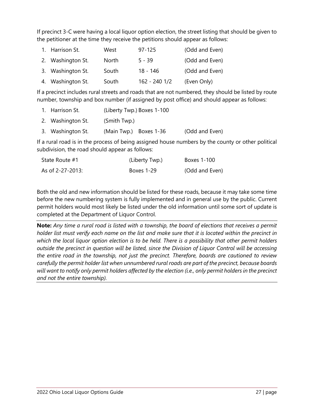If precinct 3-C were having a local liquor option election, the street listing that should be given to the petitioner at the time they receive the petitions should appear as follows:

| 1. Harrison St.   | West  | $97 - 125$    | (Odd and Even) |
|-------------------|-------|---------------|----------------|
| 2. Washington St. | North | $5 - 39$      | (Odd and Even) |
| 3. Washington St. | South | 18 - 146      | (Odd and Even) |
| 4. Washington St. | South | 162 - 240 1/2 | (Even Only)    |

If a precinct includes rural streets and roads that are not numbered, they should be listed by route number, township and box number (if assigned by post office) and should appear as follows:

| 1. Harrison St.   | (Liberty Twp.) Boxes 1-100 |                |  |
|-------------------|----------------------------|----------------|--|
| 2. Washington St. | (Smith Twp.)               |                |  |
| 3. Washington St. | (Main Twp.) Boxes 1-36     | (Odd and Even) |  |

If a rural road is in the process of being assigned house numbers by the county or other political subdivision, the road should appear as follows:

| State Route #1   | (Liberty Twp.) | Boxes 1-100    |
|------------------|----------------|----------------|
| As of 2-27-2013: | Boxes 1-29     | (Odd and Even) |

Both the old and new information should be listed for these roads, because it may take some time before the new numbering system is fully implemented and in general use by the public. Current permit holders would most likely be listed under the old information until some sort of update is completed at the Department of Liquor Control.

**Note:** *Any time a rural road is listed with a township, the board of elections that receives a permit holder list must verify each name on the list and make sure that it is located within the precinct in which the local liquor option election is to be held. There is a possibility that other permit holders outside the precinct in question will be listed, since the Division of Liquor Control will be accessing the entire road in the township, not just the precinct. Therefore, boards are cautioned to review carefully the permit holder list when unnumbered rural roads are part of the precinct, because boards*  will want to notify only permit holders affected by the election (i.e., only permit holders in the precinct *and not the entire township).*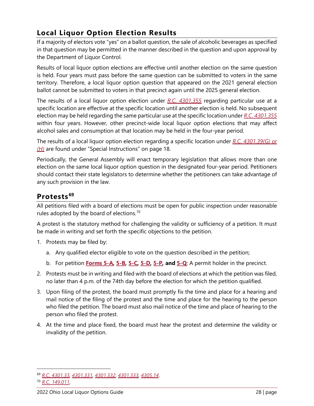# <span id="page-30-0"></span>**Local Liquor Option Election Results**

If a majority of electors vote "yes" on a ballot question, the sale of alcoholic beverages as specified in that question may be permitted in the manner described in the question and upon approval by the Department of Liquor Control.

Results of local liquor option elections are effective until another election on the same question is held. Four years must pass before the same question can be submitted to voters in the same territory. Therefore, a local liquor option question that appeared on the 2021 general election ballot cannot be submitted to voters in that precinct again until the 2025 general election.

The results of a local liquor option election under *[R.C. 4301.355](http://codes.ohio.gov/orc/4301.355)* regarding particular use at a specific location are effective at the specific location until another election is held. No subsequent election may be held regarding the same particular use at the specific location under *[R.C. 4301.355](http://codes.ohio.gov/orc/4301.355)* within four years. However, other precinct-wide local liquor option elections that may affect alcohol sales and consumption at that location may be held in the four-year period.

The results of a local liquor option election regarding a specific location under *[R.C. 4301.39\(G\) or](http://codes.ohio.gov/orc/4301.39)  [\(H\)](http://codes.ohio.gov/orc/4301.39)* are found under "Special Instructions" on page 18.

Periodically, the General Assembly will enact temporary legislation that allows more than one election on the same local liquor option question in the designated four-year period. Petitioners should contact their state legislators to determine whether the petitioners can take advantage of any such provision in the law.

# <span id="page-30-1"></span>**Protests [69](#page-30-2)**

All petitions filed with a board of elections must be open for public inspection under reasonable rules adopted by the board of elections. $70$ 

A protest is the statutory method for challenging the validity or sufficiency of a petition. It must be made in writing and set forth the specific objections to the petition.

- 1. Protests may be filed by:
	- a. Any qualified elector eligible to vote on the question described in the petition;
	- b. For petition **[Forms 5-A](https://www.sos.state.oh.us/globalassets/elections/forms/5-a.pdf)***,* **[5-B](https://www.sos.state.oh.us/globalassets/elections/forms/5-b.pdf)***,* **[5-C](https://www.sos.state.oh.us/globalassets/elections/forms/5-c.pdf)***,* **[5-D](https://www.sos.state.oh.us/globalassets/elections/forms/5-d.pdf)***,* **[5-P](https://www.sos.state.oh.us/globalassets/elections/forms/5-p.pdf)***,* **and [5-Q](https://www.sos.state.oh.us/globalassets/elections/forms/5-q.pdf)**: A permit holder in the precinct.
- 2. Protests must be in writing and filed with the board of elections at which the petition was filed, no later than 4 p.m. of the 74th day before the election for which the petition qualified.
- 3. Upon filing of the protest, the board must promptly fix the time and place for a hearing and mail notice of the filing of the protest and the time and place for the hearing to the person who filed the petition. The board must also mail notice of the time and place of hearing to the person who filed the protest.
- 4. At the time and place fixed, the board must hear the protest and determine the validity or invalidity of the petition.

<span id="page-30-3"></span><span id="page-30-2"></span><sup>69</sup> *[R.C. 4301.33](http://codes.ohio.gov/orc/4301.33)*, *[4301.331](http://codes.ohio.gov/orc/4301.331)*, *[4301.332](http://codes.ohio.gov/orc/4301.332)*, *[4301.333](http://codes.ohio.gov/orc/4301.333)*, *[4305.14](http://codes.ohio.gov/orc/4305.14)*. <sup>70</sup> *[R.C. 149.011](http://codes.ohio.gov/orc/149.011)*.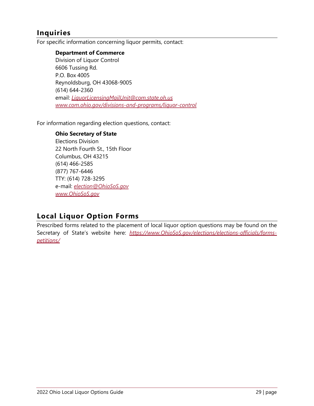# <span id="page-31-0"></span>**Inquiries**

For specific information concerning liquor permits, contact:

#### **Department of Commerce**

Division of Liquor Control 6606 Tussing Rd. P.O. Box 4005 Reynoldsburg, OH 43068-9005 (614) 644-2360 email: *[LiquorLicensingMailUnit@com.state.oh.us](mailto:LiquorLicensingMailUnit@com.state.oh.us) [www.com.ohio.gov/divisions-and-programs/liquor-control](http://www.com.ohio.gov/divisions-and-programs/liquor-control)*

For information regarding election questions, contact:

#### **Ohio Secretary of State**

Elections Division 22 North Fourth St., 15th Floor Columbus, OH 43215 (614) 466-2585 (877) 767-6446 TTY: (614) 728-3295 e-mail: *[election@OhioSoS.gov](mailto:election@OhioSoS.gov) [www.OhioSoS.gov](http://www.ohiosos.gov/)*

# <span id="page-31-1"></span>**Local Liquor Option Forms**

Prescribed forms related to the placement of local liquor option questions may be found on the Secretary of State's website here: [https://www.OhioSoS.gov/elections/elections-officials/forms](https://www.ohiosos.gov/elections/elections-officials/forms-petitions/)*[petitions/](https://www.ohiosos.gov/elections/elections-officials/forms-petitions/)*